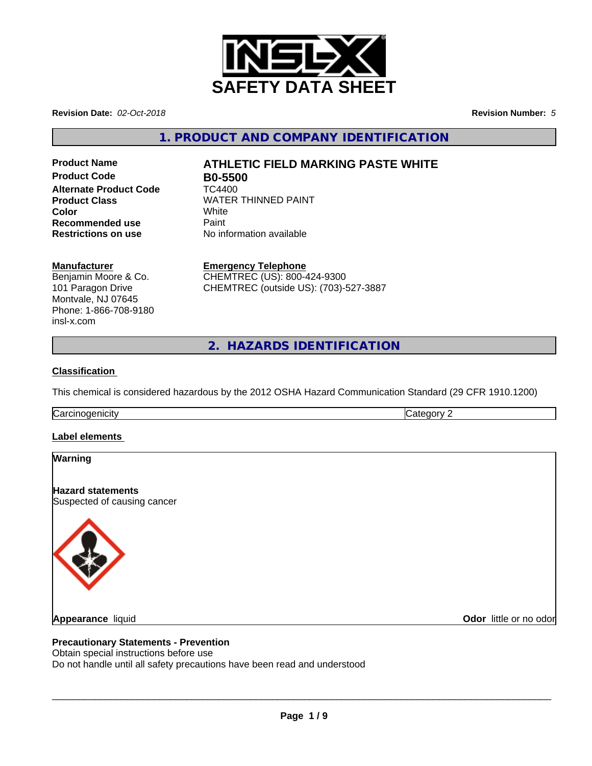

**Revision Date:** *02-Oct-2018* **Revision Number:** *5*

**1. PRODUCT AND COMPANY IDENTIFICATION**

**Product Code B0-5500 Alternate Product Code TC4400 Product Class WATER THINNED PAINT Color** White White **Recommended use** Paint<br> **Restrictions on use** No inf

# **Product Name ATHLETIC FIELD MARKING PASTE WHITE**

**No information available** 

#### **Manufacturer**

Benjamin Moore & Co. 101 Paragon Drive Montvale, NJ 07645 Phone: 1-866-708-9180 insl-x.com

**Emergency Telephone** CHEMTREC (US): 800-424-9300

CHEMTREC (outside US): (703)-527-3887

**2. HAZARDS IDENTIFICATION**

#### **Classification**

This chemical is considered hazardous by the 2012 OSHA Hazard Communication Standard (29 CFR 1910.1200)

**Carcinogenicity** Category 2

#### **Label elements**

#### **Warning**

**Hazard statements** Suspected of causing cancer



**Odor** little or no odor

#### **Precautionary Statements - Prevention**

Obtain special instructions before use

Do not handle until all safety precautions have been read and understood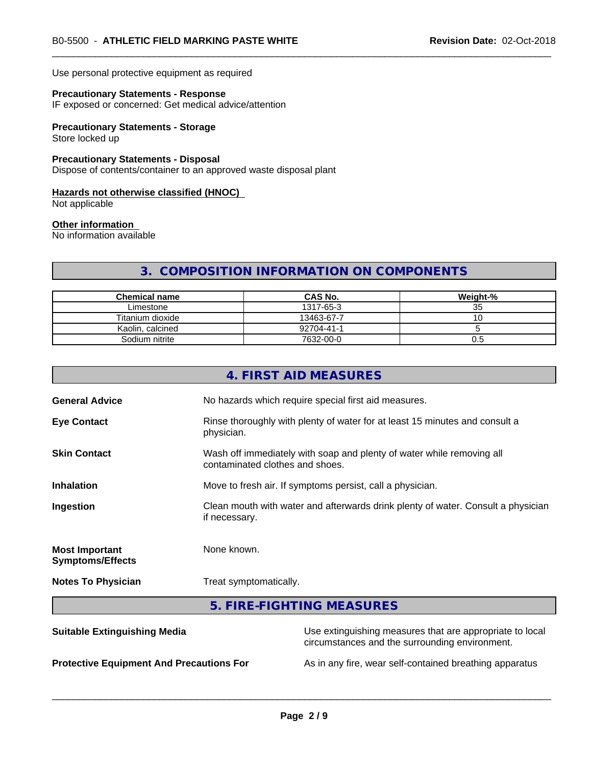Use personal protective equipment as required

#### **Precautionary Statements - Response**

IF exposed or concerned: Get medical advice/attention

#### **Precautionary Statements - Storage**

Store locked up

#### **Precautionary Statements - Disposal**

Dispose of contents/container to an approved waste disposal plant

#### **Hazards not otherwise classified (HNOC)**

Not applicable

#### **Other information**

No information available

#### **3. COMPOSITION INFORMATION ON COMPONENTS**

| <b>Chemical name</b> | <b>CAS No.</b> | Weight-% |
|----------------------|----------------|----------|
| Limestone            | 1317-65-3      | ≺∽<br>ບປ |
| Titanium dioxide     | 13463-67-7     | v        |
| Kaolin, calcined     | 92704-41-1     |          |
| Sodium nitrite       | 7632-00-0      | U.5      |

|                                                  | 4. FIRST AID MEASURES                                                                                      |  |
|--------------------------------------------------|------------------------------------------------------------------------------------------------------------|--|
| <b>General Advice</b>                            | No hazards which require special first aid measures.                                                       |  |
| <b>Eye Contact</b>                               | Rinse thoroughly with plenty of water for at least 15 minutes and consult a<br>physician.                  |  |
| <b>Skin Contact</b>                              | Wash off immediately with soap and plenty of water while removing all<br>contaminated clothes and shoes.   |  |
| <b>Inhalation</b>                                | Move to fresh air. If symptoms persist, call a physician.                                                  |  |
| Ingestion                                        | Clean mouth with water and afterwards drink plenty of water. Consult a physician<br>if necessary.          |  |
| <b>Most Important</b><br><b>Symptoms/Effects</b> | None known.                                                                                                |  |
| <b>Notes To Physician</b>                        | Treat symptomatically.                                                                                     |  |
|                                                  | 5. FIRE-FIGHTING MEASURES                                                                                  |  |
| <b>Suitable Extinguishing Media</b>              | Use extinguishing measures that are appropriate to local<br>circumstances and the surrounding environment. |  |

**Protective Equipment And Precautions For** As in any fire, wear self-contained breathing apparatus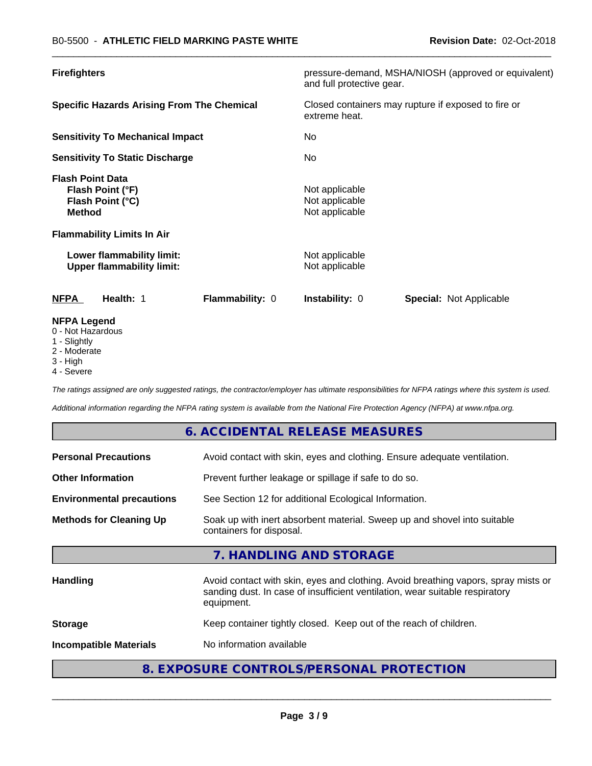| <b>Firefighters</b>                                                              | pressure-demand, MSHA/NIOSH (approved or equivalent)<br>and full protective gear. |  |
|----------------------------------------------------------------------------------|-----------------------------------------------------------------------------------|--|
| <b>Specific Hazards Arising From The Chemical</b>                                | Closed containers may rupture if exposed to fire or<br>extreme heat.              |  |
| <b>Sensitivity To Mechanical Impact</b>                                          | No.                                                                               |  |
| <b>Sensitivity To Static Discharge</b>                                           | No.                                                                               |  |
| <b>Flash Point Data</b><br>Flash Point (°F)<br>Flash Point (°C)<br><b>Method</b> | Not applicable<br>Not applicable<br>Not applicable                                |  |
| <b>Flammability Limits In Air</b>                                                |                                                                                   |  |
| Lower flammability limit:<br><b>Upper flammability limit:</b>                    | Not applicable<br>Not applicable                                                  |  |
| Health: 1<br><b>NFPA</b><br><b>Flammability: 0</b>                               | <b>Instability: 0</b><br><b>Special: Not Applicable</b>                           |  |
| <b>NFPA Legend</b><br>0 - Not Hazardous                                          |                                                                                   |  |

- 1 Slightly
- 2 Moderate
- 3 High
- 4 Severe

*The ratings assigned are only suggested ratings, the contractor/employer has ultimate responsibilities for NFPA ratings where this system is used.*

*Additional information regarding the NFPA rating system is available from the National Fire Protection Agency (NFPA) at www.nfpa.org.*

#### **6. ACCIDENTAL RELEASE MEASURES**

| <b>Personal Precautions</b>      | Avoid contact with skin, eyes and clothing. Ensure adequate ventilation.                                                                                                         |
|----------------------------------|----------------------------------------------------------------------------------------------------------------------------------------------------------------------------------|
| <b>Other Information</b>         | Prevent further leakage or spillage if safe to do so.                                                                                                                            |
| <b>Environmental precautions</b> | See Section 12 for additional Ecological Information.                                                                                                                            |
| <b>Methods for Cleaning Up</b>   | Soak up with inert absorbent material. Sweep up and shovel into suitable<br>containers for disposal.                                                                             |
|                                  | 7. HANDLING AND STORAGE                                                                                                                                                          |
| <b>Handling</b>                  | Avoid contact with skin, eyes and clothing. Avoid breathing vapors, spray mists or<br>sanding dust. In case of insufficient ventilation, wear suitable respiratory<br>equipment. |
| <b>Storage</b>                   | Keep container tightly closed. Keep out of the reach of children.                                                                                                                |
| <b>Incompatible Materials</b>    | No information available                                                                                                                                                         |
|                                  |                                                                                                                                                                                  |

#### **8. EXPOSURE CONTROLS/PERSONAL PROTECTION**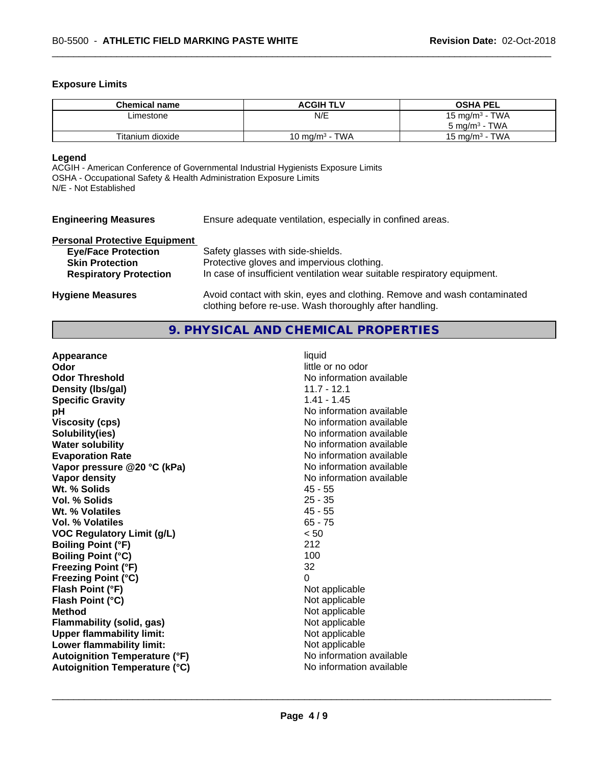#### **Exposure Limits**

| <b>Chemical name</b> | <b>ACGIH TLV</b>  | <b>OSHA PEL</b>            |
|----------------------|-------------------|----------------------------|
| Limestone            | N/E               | 15 mg/m <sup>3</sup> - TWA |
|                      |                   | $5 \text{ ma/m}^3$ - TWA   |
| Titanium dioxide     | 10 mg/m $3$ - TWA | $15 \text{ ma/m}^3$ - TWA  |

#### **Legend**

ACGIH - American Conference of Governmental Industrial Hygienists Exposure Limits OSHA - Occupational Safety & Health Administration Exposure Limits N/E - Not Established

| <b>Engineering Measures</b>          | Ensure adequate ventilation, especially in confined areas. |
|--------------------------------------|------------------------------------------------------------|
| <b>Dorconal Drotoctive Equipment</b> |                                                            |

| <b>Fersonal Frotective Equipment</b> |                                                                          |
|--------------------------------------|--------------------------------------------------------------------------|
| <b>Eye/Face Protection</b>           | Safety glasses with side-shields.                                        |
| <b>Skin Protection</b>               | Protective gloves and impervious clothing.                               |
| <b>Respiratory Protection</b>        | In case of insufficient ventilation wear suitable respiratory equipment. |
|                                      |                                                                          |
| <b>Hygiene Measures</b>              | Avoid contact with skin, eyes and clothing. Remove and wash contaminated |

# **9. PHYSICAL AND CHEMICAL PROPERTIES**

clothing before re-use. Wash thoroughly after handling.

| Appearance                           | liquid                   |
|--------------------------------------|--------------------------|
| Odor                                 | little or no odor        |
| <b>Odor Threshold</b>                | No information available |
| Density (Ibs/gal)                    | $11.7 - 12.1$            |
| <b>Specific Gravity</b>              | $1.41 - 1.45$            |
| рH                                   | No information available |
| <b>Viscosity (cps)</b>               | No information available |
| Solubility(ies)                      | No information available |
| <b>Water solubility</b>              | No information available |
| <b>Evaporation Rate</b>              | No information available |
| Vapor pressure @20 °C (kPa)          | No information available |
| Vapor density                        | No information available |
| Wt. % Solids                         | $45 - 55$                |
| Vol. % Solids                        | $25 - 35$                |
| Wt. % Volatiles                      | $45 - 55$                |
| Vol. % Volatiles                     | $65 - 75$                |
| <b>VOC Regulatory Limit (g/L)</b>    | < 50                     |
| <b>Boiling Point (°F)</b>            | 212                      |
| <b>Boiling Point (°C)</b>            | 100                      |
| <b>Freezing Point (°F)</b>           | 32                       |
| <b>Freezing Point (°C)</b>           | 0                        |
| Flash Point (°F)                     | Not applicable           |
| Flash Point (°C)                     | Not applicable           |
| <b>Method</b>                        | Not applicable           |
| <b>Flammability (solid, gas)</b>     | Not applicable           |
| <b>Upper flammability limit:</b>     | Not applicable           |
| Lower flammability limit:            | Not applicable           |
| <b>Autoignition Temperature (°F)</b> | No information available |
| <b>Autoignition Temperature (°C)</b> | No information available |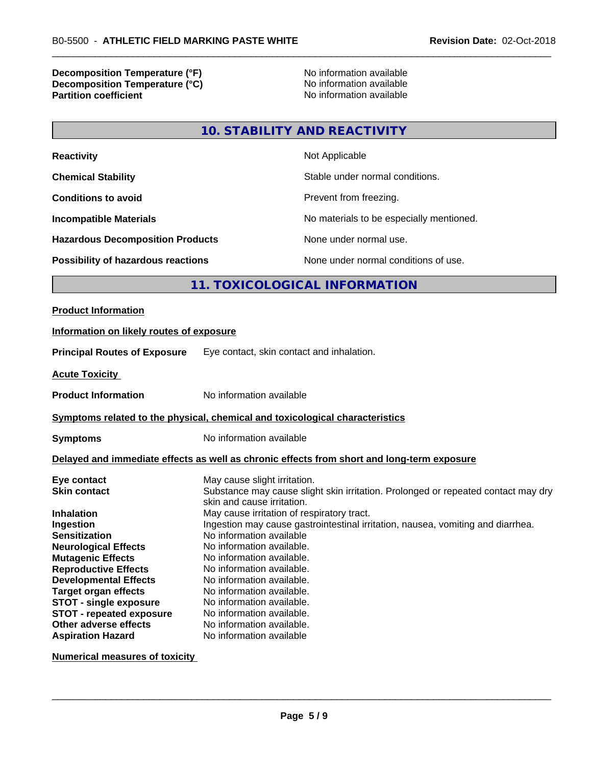### **Decomposition Temperature (°F)** No information available **Decomposition Temperature (°C)** No information available<br> **Partition coefficient Partition available**

**No information available** 

#### **10. STABILITY AND REACTIVITY**

| <b>Reactivity</b>                         | Not Applicable                           |
|-------------------------------------------|------------------------------------------|
| <b>Chemical Stability</b>                 | Stable under normal conditions.          |
| <b>Conditions to avoid</b>                | Prevent from freezing.                   |
| <b>Incompatible Materials</b>             | No materials to be especially mentioned. |
| <b>Hazardous Decomposition Products</b>   | None under normal use.                   |
| <b>Possibility of hazardous reactions</b> | None under normal conditions of use.     |

#### **11. TOXICOLOGICAL INFORMATION**

## **Product Information Information on likely routes of exposure Principal Routes of Exposure** Eye contact, skin contact and inhalation. **Acute Toxicity Product Information** No information available **Symptoms related to the physical,chemical and toxicological characteristics Symptoms** No information available **Delayed and immediate effects as well as chronic effects from short and long-term exposure Eye contact Exercise Solution** May cause slight irritation.<br> **Skin contact** Substance may cause slig Substance may cause slight skin irritation. Prolonged or repeated contact may dry skin and cause irritation. **Inhalation** May cause irritation of respiratory tract.

**Ingestion** Ingestion may cause gastrointestinal irritation, nausea, vomiting and diarrhea.<br>**Sensitization** No information available **Sensitization** No information available **Neurological Effects** No information available.<br> **Mutagenic Effects** No information available. No information available. **Reproductive Effects** No information available. **Developmental Effects** No information available. **Target organ effects** No information available. **STOT** - **single exposure** No information available. **STOT - repeated exposure** No information available. **Other adverse effects** No information available. **Aspiration Hazard** No information available

**Numerical measures of toxicity**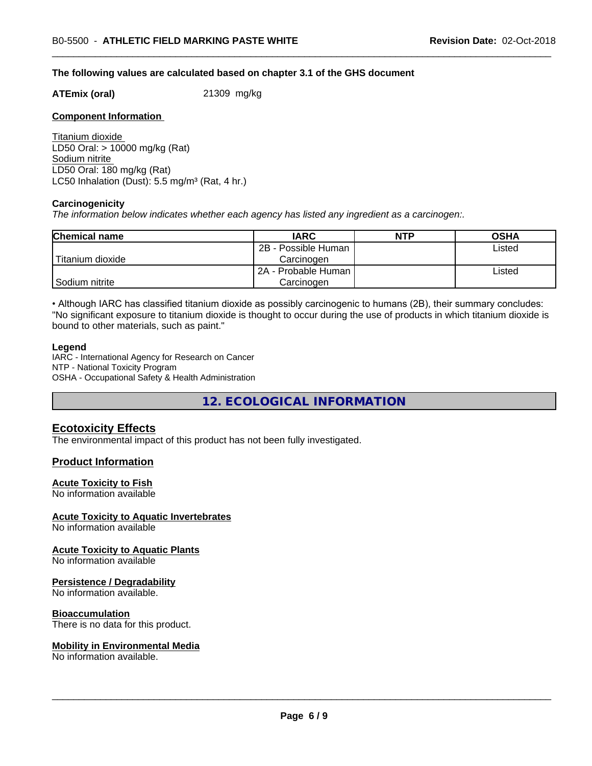#### **The following values are calculated based on chapter 3.1 of the GHS document**

**ATEmix (oral)** 21309 mg/kg

#### **Component Information**

Titanium dioxide LD50 Oral: > 10000 mg/kg (Rat) Sodium nitrite LD50 Oral: 180 mg/kg (Rat) LC50 Inhalation (Dust):  $5.5 \text{ mg/m}^3$  (Rat, 4 hr.)

#### **Carcinogenicity**

*The information below indicateswhether each agency has listed any ingredient as a carcinogen:.*

| <b>Chemical name</b> | <b>IARC</b>         | <b>NTP</b> | <b>OSHA</b> |
|----------------------|---------------------|------------|-------------|
|                      | 2B - Possible Human |            | Listed      |
| Titanium dioxide     | Carcinoɑen          |            |             |
|                      | 2A - Probable Human |            | Listed      |
| Sodium nitrite       | Carcinogen          |            |             |

• Although IARC has classified titanium dioxide as possibly carcinogenic to humans (2B), their summary concludes: "No significant exposure to titanium dioxide is thought to occur during the use of products in which titanium dioxide is bound to other materials, such as paint."

#### **Legend**

IARC - International Agency for Research on Cancer NTP - National Toxicity Program OSHA - Occupational Safety & Health Administration

**12. ECOLOGICAL INFORMATION**

#### **Ecotoxicity Effects**

The environmental impact of this product has not been fully investigated.

#### **Product Information**

#### **Acute Toxicity to Fish**

No information available

#### **Acute Toxicity to Aquatic Invertebrates**

No information available

#### **Acute Toxicity to Aquatic Plants**

No information available

#### **Persistence / Degradability**

No information available.

#### **Bioaccumulation**

There is no data for this product.

#### **Mobility in Environmental Media**

No information available.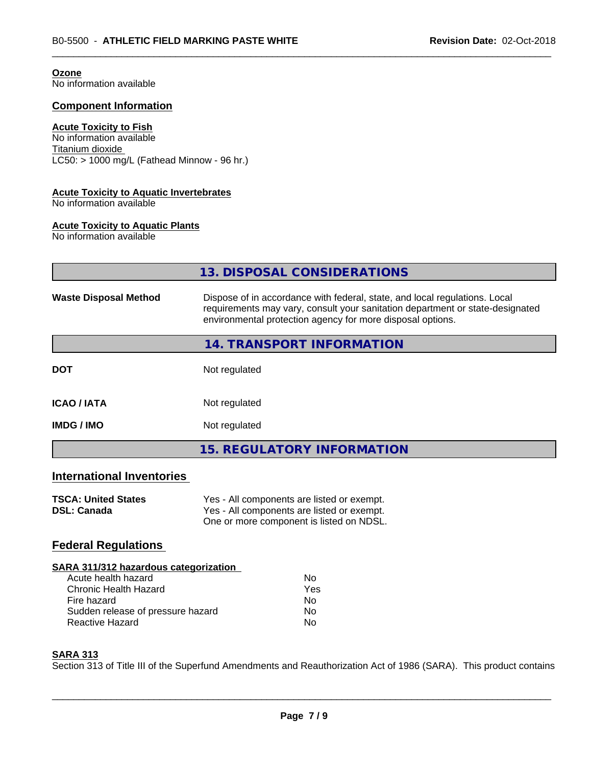#### **Ozone**

No information available

#### **Component Information**

#### **Acute Toxicity to Fish**

No information available Titanium dioxide  $LC50: > 1000$  mg/L (Fathead Minnow - 96 hr.)

#### **Acute Toxicity to Aquatic Invertebrates**

No information available

#### **Acute Toxicity to Aquatic Plants**

No information available

|                                                  | 13. DISPOSAL CONSIDERATIONS                                                                                                                                                                                               |
|--------------------------------------------------|---------------------------------------------------------------------------------------------------------------------------------------------------------------------------------------------------------------------------|
| <b>Waste Disposal Method</b>                     | Dispose of in accordance with federal, state, and local regulations. Local<br>requirements may vary, consult your sanitation department or state-designated<br>environmental protection agency for more disposal options. |
|                                                  | 14. TRANSPORT INFORMATION                                                                                                                                                                                                 |
| <b>DOT</b>                                       | Not regulated                                                                                                                                                                                                             |
| <b>ICAO / IATA</b>                               | Not regulated                                                                                                                                                                                                             |
| <b>IMDG/IMO</b>                                  | Not regulated                                                                                                                                                                                                             |
|                                                  | <b>15. REGULATORY INFORMATION</b>                                                                                                                                                                                         |
| <b>International Inventories</b>                 |                                                                                                                                                                                                                           |
| <b>TSCA: United States</b><br><b>DSL: Canada</b> | Yes - All components are listed or exempt.<br>Yes - All components are listed or exempt.<br>One or more component is listed on NDSL.                                                                                      |
| <b>Federal Regulations</b>                       |                                                                                                                                                                                                                           |
| SARA 311/312 hazardous categorization            |                                                                                                                                                                                                                           |

| Acute health hazard               | Nο  |
|-----------------------------------|-----|
| Chronic Health Hazard             | Yes |
| Fire hazard                       | Nο  |
| Sudden release of pressure hazard | N٥  |
| Reactive Hazard                   | Nο  |

#### **SARA 313**

Section 313 of Title III of the Superfund Amendments and Reauthorization Act of 1986 (SARA). This product contains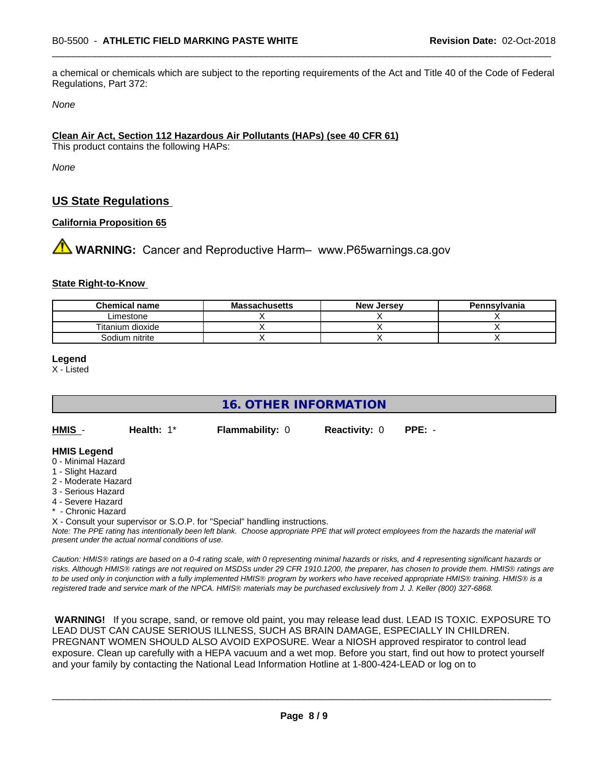a chemical or chemicals which are subject to the reporting requirements of the Act and Title 40 of the Code of Federal Regulations, Part 372:

*None*

#### **Clean Air Act,Section 112 Hazardous Air Pollutants (HAPs) (see 40 CFR 61)**

This product contains the following HAPs:

*None*

#### **US State Regulations**

#### **California Proposition 65**

**WARNING:** Cancer and Reproductive Harm– www.P65warnings.ca.gov

#### **State Right-to-Know**

| <b>Chemical name</b> | <b>Massachusetts</b> | <b>New Jersey</b> | Pennsylvania |
|----------------------|----------------------|-------------------|--------------|
| Limestone            |                      |                   |              |
| Titanium dioxide     |                      |                   |              |
| Sodium nitrite       |                      |                   |              |

#### **Legend**

X - Listed

#### **16. OTHER INFORMATION**

**HMIS** - **Health:** 1\* **Flammability:** 0 **Reactivity:** 0 **PPE:** -

#### **HMIS Legend**

- 0 Minimal Hazard
- 1 Slight Hazard
- 2 Moderate Hazard
- 3 Serious Hazard
- 4 Severe Hazard
- Chronic Hazard
- X Consult your supervisor or S.O.P. for "Special" handling instructions.

*Note: The PPE rating has intentionally been left blank. Choose appropriate PPE that will protect employees from the hazards the material will present under the actual normal conditions of use.*

*Caution: HMISÒ ratings are based on a 0-4 rating scale, with 0 representing minimal hazards or risks, and 4 representing significant hazards or risks. Although HMISÒ ratings are not required on MSDSs under 29 CFR 1910.1200, the preparer, has chosen to provide them. HMISÒ ratings are to be used only in conjunction with a fully implemented HMISÒ program by workers who have received appropriate HMISÒ training. HMISÒ is a registered trade and service mark of the NPCA. HMISÒ materials may be purchased exclusively from J. J. Keller (800) 327-6868.*

 **WARNING!** If you scrape, sand, or remove old paint, you may release lead dust. LEAD IS TOXIC. EXPOSURE TO LEAD DUST CAN CAUSE SERIOUS ILLNESS, SUCH AS BRAIN DAMAGE, ESPECIALLY IN CHILDREN. PREGNANT WOMEN SHOULD ALSO AVOID EXPOSURE.Wear a NIOSH approved respirator to control lead exposure. Clean up carefully with a HEPA vacuum and a wet mop. Before you start, find out how to protect yourself and your family by contacting the National Lead Information Hotline at 1-800-424-LEAD or log on to